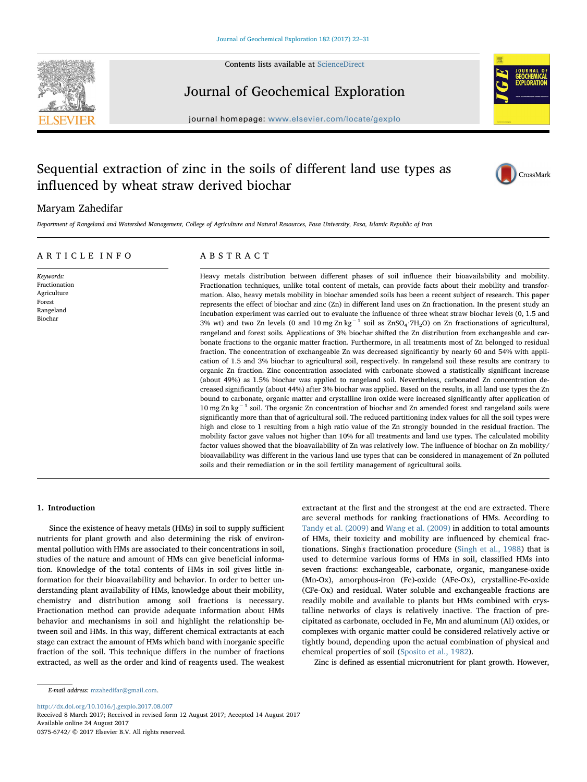

Contents lists available at [ScienceDirect](https://www.sciencedirect.com/science/journal/03756742)

# Journal of Geochemical Exploration



 $j$ over. We home page: [www.elsevier.com/locate/gexplo](https://www.elsevier.com/locate/gexplo)res

# Sequential extraction of zinc in the soils of different land use types as influenced by wheat straw derived biochar



## Maryam Zahedifar

Department of Rangeland and Watershed Management, College of Agriculture and Natural Resources, Fasa University, Fasa, Islamic Republic of Iran

### ARTICLE INFO

Keywords: Fractionation Agriculture Forest Rangeland Biochar

## ABSTRACT

Heavy metals distribution between different phases of soil influence their bioavailability and mobility. Fractionation techniques, unlike total content of metals, can provide facts about their mobility and transformation. Also, heavy metals mobility in biochar amended soils has been a recent subject of research. This paper represents the effect of biochar and zinc (Zn) in different land uses on Zn fractionation. In the present study an incubation experiment was carried out to evaluate the influence of three wheat straw biochar levels (0, 1.5 and 3% wt) and two Zn levels (0 and 10 mg Zn kg−<sup>1</sup> soil as ZnSO4∙7H2O) on Zn fractionations of agricultural, rangeland and forest soils. Applications of 3% biochar shifted the Zn distribution from exchangeable and carbonate fractions to the organic matter fraction. Furthermore, in all treatments most of Zn belonged to residual fraction. The concentration of exchangeable Zn was decreased significantly by nearly 60 and 54% with application of 1.5 and 3% biochar to agricultural soil, respectively. In rangeland soil these results are contrary to organic Zn fraction. Zinc concentration associated with carbonate showed a statistically significant increase (about 49%) as 1.5% biochar was applied to rangeland soil. Nevertheless, carbonated Zn concentration decreased significantly (about 44%) after 3% biochar was applied. Based on the results, in all land use types the Zn bound to carbonate, organic matter and crystalline iron oxide were increased significantly after application of 10 mg Zn kg−<sup>1</sup> soil. The organic Zn concentration of biochar and Zn amended forest and rangeland soils were significantly more than that of agricultural soil. The reduced partitioning index values for all the soil types were high and close to 1 resulting from a high ratio value of the Zn strongly bounded in the residual fraction. The mobility factor gave values not higher than 10% for all treatments and land use types. The calculated mobility factor values showed that the bioavailability of Zn was relatively low. The influence of biochar on Zn mobility/ bioavailability was different in the various land use types that can be considered in management of Zn polluted soils and their remediation or in the soil fertility management of agricultural soils.

#### 1. Introduction

Since the existence of heavy metals (HMs) in soil to supply sufficient nutrients for plant growth and also determining the risk of environmental pollution with HMs are associated to their concentrations in soil, studies of the nature and amount of HMs can give beneficial information. Knowledge of the total contents of HMs in soil gives little information for their bioavailability and behavior. In order to better understanding plant availability of HMs, knowledge about their mobility, chemistry and distribution among soil fractions is necessary. Fractionation method can provide adequate information about HMs behavior and mechanisms in soil and highlight the relationship between soil and HMs. In this way, different chemical extractants at each stage can extract the amount of HMs which band with inorganic specific fraction of the soil. This technique differs in the number of fractions extracted, as well as the order and kind of reagents used. The weakest extractant at the first and the strongest at the end are extracted. There are several methods for ranking fractionations of HMs. According to Tandy et al. (2009) and Wang et al. (2009) in addition to total amounts of HMs, their toxicity and mobility are influenced by chemical fractionations. Singh' s fractionation procedure (Singh et al., 1988) that is used to determine various forms of HMs in soil, classified HMs into seven fractions: exchangeable, carbonate, organic, manganese-oxide (Mn-Ox), amorphous‑iron (Fe)-oxide (AFe-Ox), crystalline-Fe-oxide (CFe-Ox) and residual. Water soluble and exchangeable fractions are readily mobile and available to plants but HMs combined with crystalline networks of clays is relatively inactive. The fraction of precipitated as carbonate, occluded in Fe, Mn and aluminum (Al) oxides, or complexes with organic matter could be considered relatively active or tightly bound, depending upon the actual combination of physical and chemical properties of soil (Sposito et al., 1982).

Zinc is defined as essential micronutrient for plant growth. However,

<http://dx.doi.org/10.1016/j.gexplo.2017.08.007>

0375-6742/ © 2017 Elsevier B.V. All rights reserved.

E-mail address: [mzahedifar@gmail.com](mailto:mzahedifar@gmail.com).

Received 8 March 2017; Received in revised form 12 August 2017; Accepted 14 August 2017 Available online 24 August 2017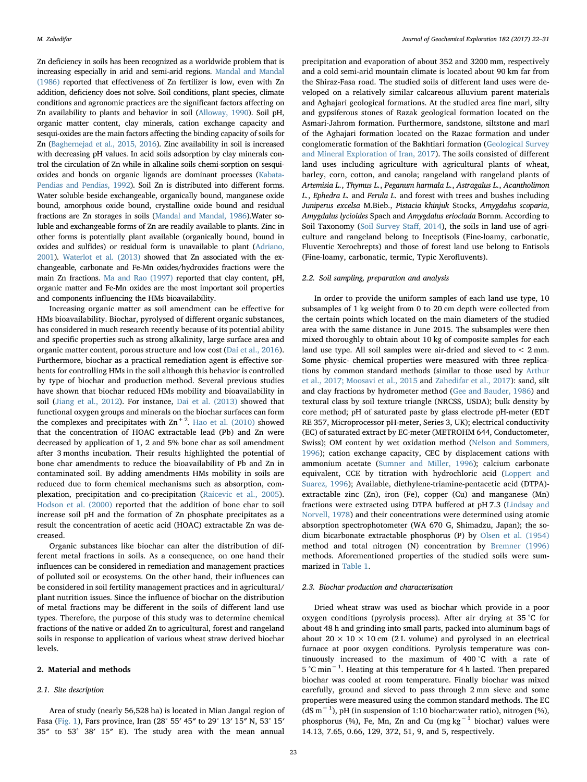Zn deficiency in soils has been recognized as a worldwide problem that is increasing especially in arid and semi-arid regions. Mandal and Mandal (1986) reported that effectiveness of Zn fertilizer is low, even with Zn addition, deficiency does not solve. Soil conditions, plant species, climate conditions and agronomic practices are the significant factors affecting on Zn availability to plants and behavior in soil (Alloway, 1990). Soil pH, organic matter content, clay minerals, cation exchange capacity and sesqui-oxides are the main factors affecting the binding capacity of soils for Zn (Baghernejad et al., 2015, 2016). Zinc availability in soil is increased with decreasing pH values. In acid soils adsorption by clay minerals control the circulation of Zn while in alkaline soils chemi-sorption on sesquioxides and bonds on organic ligands are dominant processes (Kabata-Pendias and Pendias, 1992). Soil Zn is distributed into different forms. Water soluble beside exchangeable, organically bound, manganese oxide bound, amorphous oxide bound, crystalline oxide bound and residual fractions are Zn storages in soils (Mandal and Mandal, 1986).Water soluble and exchangeable forms of Zn are readily available to plants. Zinc in other forms is potentially plant available (organically bound, bound in oxides and sulfides) or residual form is unavailable to plant (Adriano, 2001). Waterlot et al. (2013) showed that Zn associated with the exchangeable, carbonate and Fe-Mn oxides/hydroxides fractions were the main Zn fractions. Ma and Rao (1997) reported that clay content, pH, organic matter and Fe-Mn oxides are the most important soil properties and components influencing the HMs bioavailability.

Increasing organic matter as soil amendment can be effective for HMs bioavailability. Biochar, pyrolysed of different organic substances, has considered in much research recently because of its potential ability and specific properties such as strong alkalinity, large surface area and organic matter content, porous structure and low cost (Dai et al., 2016). Furthermore, biochar as a practical remediation agent is effective sorbents for controlling HMs in the soil although this behavior is controlled by type of biochar and production method. Several previous studies have shown that biochar reduced HMs mobility and bioavailability in soil (Jiang et al., 2012). For instance, Dai et al. (2013) showed that functional oxygen groups and minerals on the biochar surfaces can form the complexes and precipitates with  $\text{Zn}^{+2}$ . Hao et al. (2010) showed that the concentration of HOAC extractable lead (Pb) and Zn were decreased by application of 1, 2 and 5% bone char as soil amendment after 3 months incubation. Their results highlighted the potential of bone char amendments to reduce the bioavailability of Pb and Zn in contaminated soil. By adding amendments HMs mobility in soils are reduced due to form chemical mechanisms such as absorption, complexation, precipitation and co-precipitation (Raicevic et al., 2005). Hodson et al. (2000) reported that the addition of bone char to soil increase soil pH and the formation of Zn phosphate precipitates as a result the concentration of acetic acid (HOAC) extractable Zn was decreased.

Organic substances like biochar can alter the distribution of different metal fractions in soils. As a consequence, on one hand their influences can be considered in remediation and management practices of polluted soil or ecosystems. On the other hand, their influences can be considered in soil fertility management practices and in agricultural/ plant nutrition issues. Since the influence of biochar on the distribution of metal fractions may be different in the soils of different land use types. Therefore, the purpose of this study was to determine chemical fractions of the native or added Zn to agricultural, forest and rangeland soils in response to application of various wheat straw derived biochar levels.

#### 2. Material and methods

#### 2.1. Site description

Area of study (nearly 56,528 ha) is located in Mian Jangal region of Fasa (Fig. 1), Fars province, Iran (28° 55′ 45″ to 29° 13′ 15″ N, 53° 15′ 35″ to 53° 38′ 15″ E). The study area with the mean annual

precipitation and evaporation of about 352 and 3200 mm, respectively and a cold semi-arid mountain climate is located about 90 km far from the Shiraz-Fasa road. The studied soils of different land uses were developed on a relatively similar calcareous alluvium parent materials and Aghajari geological formations. At the studied area fine marl, silty and gypsiferous stones of Razak geological formation located on the Asmari-Jahrom formation. Furthermore, sandstone, siltstone and marl of the Aghajari formation located on the Razac formation and under conglomeratic formation of the Bakhtiari formation (Geological Survey and Mineral Exploration of Iran, 2017). The soils consisted of different land uses including agriculture with agricultural plants of wheat, barley, corn, cotton, and canola; rangeland with rangeland plants of Artemisia L., Thymus L., Peganum harmala L., Astragalus L., Acantholimon L., Ephedra L. and Ferula L. and forest with trees and bushes including Juniperus excelsa M.Bieb., Pistacia khinjuk Stocks, Amygdalus scoparia, Amygdalus lycioides Spach and Amygdalus erioclada Bornm. According to Soil Taxonomy (Soil Survey Staff, 2014), the soils in land use of agriculture and rangeland belong to Inceptisols (Fine-loamy, carbonatic, Fluventic Xerochrepts) and those of forest land use belong to Entisols (Fine-loamy, carbonatic, termic, Typic Xerofluvents).

#### 2.2. Soil sampling, preparation and analysis

In order to provide the uniform samples of each land use type, 10 subsamples of 1 kg weight from 0 to 20 cm depth were collected from the certain points which located on the main diameters of the studied area with the same distance in June 2015. The subsamples were then mixed thoroughly to obtain about 10 kg of composite samples for each land use type. All soil samples were air-dried and sieved to < 2 mm. Some physic- chemical properties were measured with three replications by common standard methods (similar to those used by Arthur et al., 2017; Moosavi et al., 2015 and Zahedifar et al., 2017): sand, silt and clay fractions by hydrometer method (Gee and Bauder, 1986) and textural class by soil texture triangle (NRCSS, USDA); bulk density by core method; pH of saturated paste by glass electrode pH-meter (EDT RE 357, Microprocessor pH-meter, Series 3, UK); electrical conductivity (EC) of saturated extract by EC-meter (METROHM 644, Conductometer, Swiss); OM content by wet oxidation method (Nelson and Sommers, 1996); cation exchange capacity, CEC by displacement cations with ammonium acetate (Sumner and Miller, 1996); calcium carbonate equivalent, CCE by titration with hydrochloric acid (Loppert and Suarez, 1996); Available, diethylene-triamine-pentacetic acid (DTPA) extractable zinc (Zn), iron (Fe), copper (Cu) and manganese (Mn) fractions were extracted using DTPA buffered at pH 7.3 (Lindsay and Norvell, 1978) and their concentrations were determined using atomic absorption spectrophotometer (WA 670 G, Shimadzu, Japan); the sodium bicarbonate extractable phosphorus (P) by Olsen et al. (1954) method and total nitrogen (N) concentration by Bremner (1996) methods. Aforementioned properties of the studied soils were summarized in Table 1.

#### 2.3. Biochar production and characterization

Dried wheat straw was used as biochar which provide in a poor oxygen conditions (pyrolysis process). After air drying at 35 °C for about 48 h and grinding into small parts, packed into aluminum bags of about  $20 \times 10 \times 10$  cm (2 L volume) and pyrolysed in an electrical furnace at poor oxygen conditions. Pyrolysis temperature was continuously increased to the maximum of 400 °C with a rate of 5 °C min−<sup>1</sup> . Heating at this temperature for 4 h lasted. Then prepared biochar was cooled at room temperature. Finally biochar was mixed carefully, ground and sieved to pass through 2 mm sieve and some properties were measured using the common standard methods. The EC (dS m−<sup>1</sup> ), pH (in suspension of 1:10 biochar:water ratio), nitrogen (%), phosphorus (%), Fe, Mn, Zn and Cu (mg kg−<sup>1</sup> biochar) values were 14.13, 7.65, 0.66, 129, 372, 51, 9, and 5, respectively.